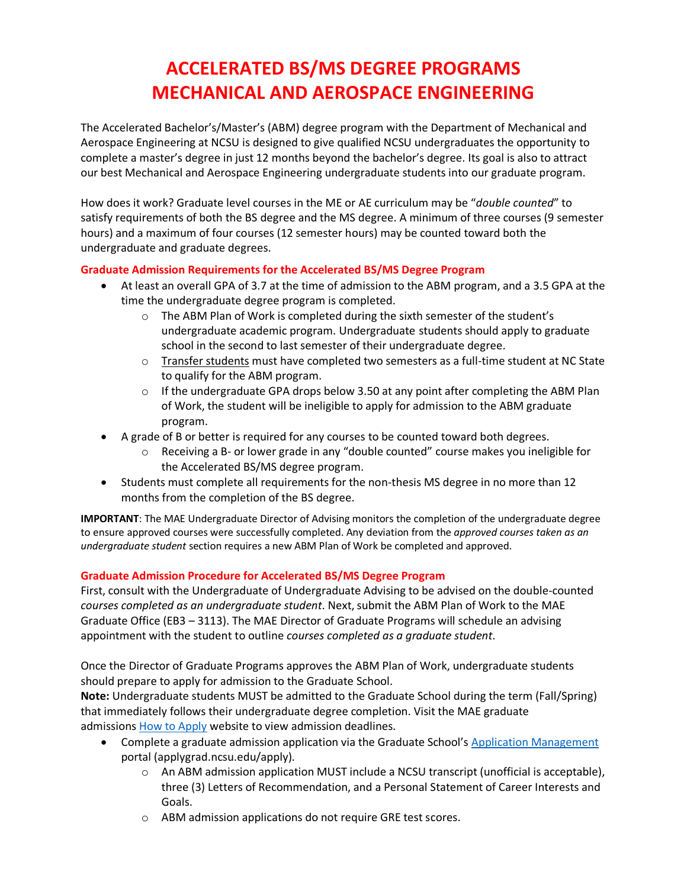# **ACCELERATED BS/MS DEGREE PROGRAMS MECHANICAL AND AEROSPACE ENGINEERING**

The Accelerated Bachelor's/Master's (ABM) degree program with the Department of Mechanical and Aerospace Engineering at NCSU is designed to give qualified NCSU undergraduates the opportunity to complete a master's degree in just 12 months beyond the bachelor's degree. Its goal is also to attract our best Mechanical and Aerospace Engineering undergraduate students into our graduate program.

How does it work? Graduate level courses in the ME or AE curriculum may be "*double counted*" to satisfy requirements of both the BS degree and the MS degree. A minimum of three courses (9 semester hours) and a maximum of four courses (12 semester hours) may be counted toward both the undergraduate and graduate degrees.

### **Graduate Admission Requirements for the Accelerated BS/MS Degree Program**

- At least an overall GPA of 3.7 at the time of admission to the ABM program, and a 3.5 GPA at the time the undergraduate degree program is completed.
	- $\circ$  The ABM Plan of Work is completed during the sixth semester of the student's undergraduate academic program. Undergraduate students should apply to graduate school in the second to last semester of their undergraduate degree.
	- $\circ$  Transfer students must have completed two semesters as a full-time student at NC State to qualify for the ABM program.
	- $\circ$  If the undergraduate GPA drops below 3.50 at any point after completing the ABM Plan of Work, the student will be ineligible to apply for admission to the ABM graduate program.
- A grade of B or better is required for any courses to be counted toward both degrees.
	- $\circ$  Receiving a B- or lower grade in any "double counted" course makes you ineligible for the Accelerated BS/MS degree program.
- Students must complete all requirements for the non-thesis MS degree in no more than 12 months from the completion of the BS degree.

**IMPORTANT**: The MAE Undergraduate Director of Advising monitors the completion of the undergraduate degree to ensure approved courses were successfully completed. Any deviation from the *approved courses taken as an undergraduate student* section requires a new ABM Plan of Work be completed and approved.

### **Graduate Admission Procedure for Accelerated BS/MS Degree Program**

First, consult with the Undergraduate of Undergraduate Advising to be advised on the double-counted *courses completed as an undergraduate student*. Next, submit the ABM Plan of Work to the MAE Graduate Office (EB3 – 3113). The MAE Director of Graduate Programs will schedule an advising appointment with the student to outline *courses completed as a graduate student*.

Once the Director of Graduate Programs approves the ABM Plan of Work, undergraduate students should prepare to apply for admission to the Graduate School.

**Note:** Undergraduate students MUST be admitted to the Graduate School during the term (Fall/Spring) that immediately follows their undergraduate degree completion. Visit the MAE graduate admissions [How to Apply](https://www.mae.ncsu.edu/academics/graduate-programs/how-to-apply-graduate/) website to view admission deadlines.

- Complete a graduate admission application via the Graduate School's [Application Management](https://applygrad.ncsu.edu/apply/) portal (applygrad.ncsu.edu/apply).
	- $\circ$  An ABM admission application MUST include a NCSU transcript (unofficial is acceptable), three (3) Letters of Recommendation, and a Personal Statement of Career Interests and Goals.
	- o ABM admission applications do not require GRE test scores.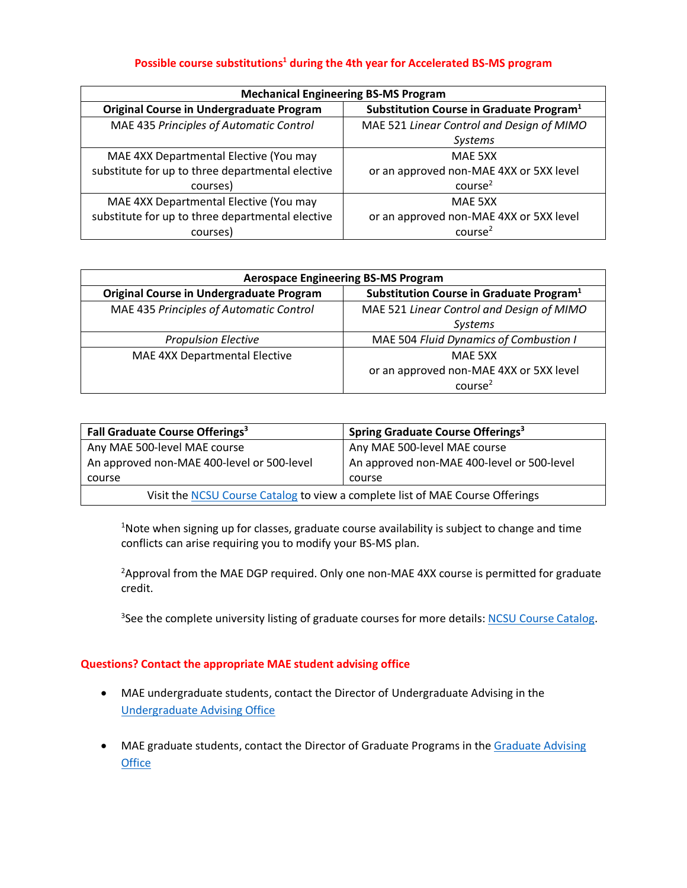#### Possible course substitutions<sup>1</sup> during the 4th year for Accelerated BS-MS program

| <b>Mechanical Engineering BS-MS Program</b>      |                                                      |  |  |  |  |
|--------------------------------------------------|------------------------------------------------------|--|--|--|--|
| <b>Original Course in Undergraduate Program</b>  | Substitution Course in Graduate Program <sup>1</sup> |  |  |  |  |
| MAE 435 Principles of Automatic Control          | MAE 521 Linear Control and Design of MIMO            |  |  |  |  |
|                                                  | <b>Systems</b>                                       |  |  |  |  |
| MAE 4XX Departmental Elective (You may           | MAE 5XX                                              |  |  |  |  |
| substitute for up to three departmental elective | or an approved non-MAE 4XX or 5XX level              |  |  |  |  |
| courses)                                         | course <sup>2</sup>                                  |  |  |  |  |
| MAE 4XX Departmental Elective (You may           | MAE 5XX                                              |  |  |  |  |
| substitute for up to three departmental elective | or an approved non-MAE 4XX or 5XX level              |  |  |  |  |
| courses)                                         | course <sup>2</sup>                                  |  |  |  |  |

| <b>Aerospace Engineering BS-MS Program</b>      |                                                      |  |  |  |
|-------------------------------------------------|------------------------------------------------------|--|--|--|
| <b>Original Course in Undergraduate Program</b> | Substitution Course in Graduate Program <sup>1</sup> |  |  |  |
| MAE 435 Principles of Automatic Control         | MAE 521 Linear Control and Design of MIMO            |  |  |  |
|                                                 | <b>Systems</b>                                       |  |  |  |
| <b>Propulsion Elective</b>                      | MAE 504 Fluid Dynamics of Combustion I               |  |  |  |
| MAE 4XX Departmental Elective                   | MAE 5XX                                              |  |  |  |
|                                                 | or an approved non-MAE 4XX or 5XX level              |  |  |  |
|                                                 | course <sup>2</sup>                                  |  |  |  |

| Fall Graduate Course Offerings <sup>3</sup>                                   | Spring Graduate Course Offerings <sup>3</sup> |  |  |  |
|-------------------------------------------------------------------------------|-----------------------------------------------|--|--|--|
| Any MAE 500-level MAE course                                                  | Any MAE 500-level MAE course                  |  |  |  |
| An approved non-MAE 400-level or 500-level                                    | An approved non-MAE 400-level or 500-level    |  |  |  |
| course                                                                        | course                                        |  |  |  |
| Visit the NCSU Course Catalog to view a complete list of MAE Course Offerings |                                               |  |  |  |

 $^{4}$ Note when signing up for classes, graduate course availability is subject to change and time conflicts can arise requiring you to modify your BS-MS plan.

<sup>2</sup>Approval from the MAE DGP required. Only one non-MAE 4XX course is permitted for graduate credit.

<sup>3</sup>See the complete university listing of graduate courses for more details: **NCSU Course Catalog**.

#### **Questions? Contact the appropriate MAE student advising office**

- MAE undergraduate students, contact the Director of Undergraduate Advising in the [Undergraduate Advising Office](https://www.mae.ncsu.edu/academics/undergraduate-programs/undergraduate-advising/)
- MAE graduate students, contact the Director of Graduate Programs in the Graduate Advising **[Office](https://www.mae.ncsu.edu/academics/graduate-programs/graduate-advising/)**